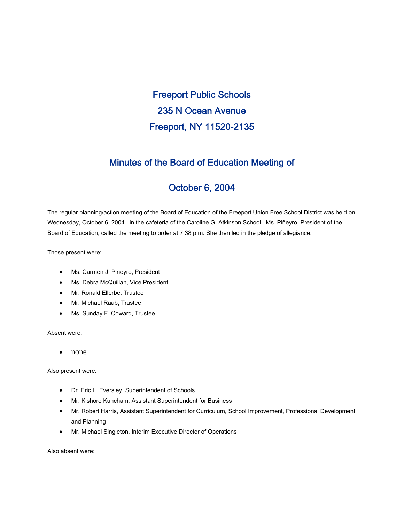Freeport Public Schools 235 N Ocean Avenue Freeport, NY 11520-2135

# Minutes of the Board of Education Meeting of

# October 6, 2004

The regular planning/action meeting of the Board of Education of the Freeport Union Free School District was held on Wednesday, October 6, 2004 , in the cafeteria of the Caroline G. Atkinson School . Ms. Piñeyro, President of the Board of Education, called the meeting to order at 7:38 p.m. She then led in the pledge of allegiance.

Those present were:

- Ms. Carmen J. Piñeyro, President
- Ms. Debra McQuillan, Vice President
- Mr. Ronald Ellerbe, Trustee
- Mr. Michael Raab, Trustee
- Ms. Sunday F. Coward, Trustee

Absent were:

• none

Also present were:

- Dr. Eric L. Eversley, Superintendent of Schools
- Mr. Kishore Kuncham, Assistant Superintendent for Business
- Mr. Robert Harris, Assistant Superintendent for Curriculum, School Improvement, Professional Development and Planning
- Mr. Michael Singleton, Interim Executive Director of Operations

Also absent were: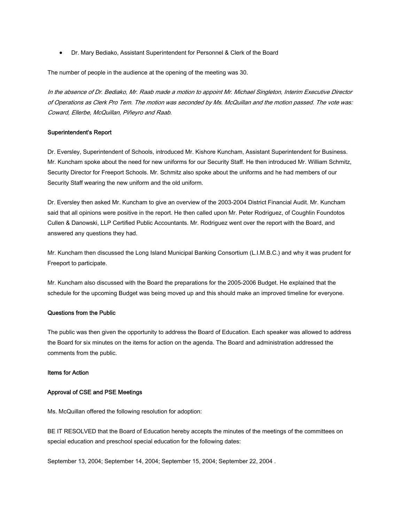• Dr. Mary Bediako, Assistant Superintendent for Personnel & Clerk of the Board

The number of people in the audience at the opening of the meeting was 30.

In the absence of Dr. Bediako, Mr. Raab made a motion to appoint Mr. Michael Singleton, Interim Executive Director of Operations as Clerk Pro Tem. The motion was seconded by Ms. McQuillan and the motion passed. The vote was: Coward, Ellerbe, McQuillan, Piñeyro and Raab.

## Superintendent's Report

Dr. Eversley, Superintendent of Schools, introduced Mr. Kishore Kuncham, Assistant Superintendent for Business. Mr. Kuncham spoke about the need for new uniforms for our Security Staff. He then introduced Mr. William Schmitz, Security Director for Freeport Schools. Mr. Schmitz also spoke about the uniforms and he had members of our Security Staff wearing the new uniform and the old uniform.

Dr. Eversley then asked Mr. Kuncham to give an overview of the 2003-2004 District Financial Audit. Mr. Kuncham said that all opinions were positive in the report. He then called upon Mr. Peter Rodriguez, of Coughlin Foundotos Cullen & Danowski, LLP Certified Public Accountants. Mr. Rodriguez went over the report with the Board, and answered any questions they had.

Mr. Kuncham then discussed the Long Island Municipal Banking Consortium (L.I.M.B.C.) and why it was prudent for Freeport to participate.

Mr. Kuncham also discussed with the Board the preparations for the 2005-2006 Budget. He explained that the schedule for the upcoming Budget was being moved up and this should make an improved timeline for everyone.

#### Questions from the Public

The public was then given the opportunity to address the Board of Education. Each speaker was allowed to address the Board for six minutes on the items for action on the agenda. The Board and administration addressed the comments from the public.

## Items for Action

## Approval of CSE and PSE Meetings

Ms. McQuillan offered the following resolution for adoption:

BE IT RESOLVED that the Board of Education hereby accepts the minutes of the meetings of the committees on special education and preschool special education for the following dates:

September 13, 2004; September 14, 2004; September 15, 2004; September 22, 2004 .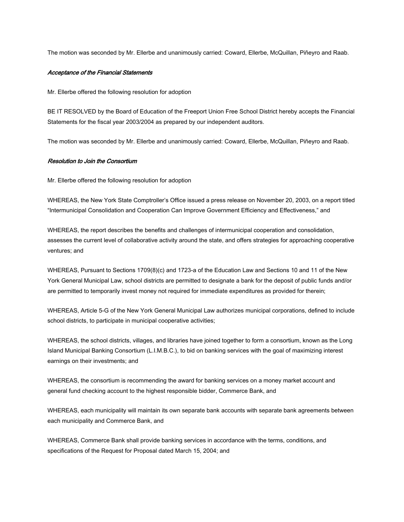The motion was seconded by Mr. Ellerbe and unanimously carried: Coward, Ellerbe, McQuillan, Piñeyro and Raab.

### Acceptance of the Financial Statements

Mr. Ellerbe offered the following resolution for adoption

BE IT RESOLVED by the Board of Education of the Freeport Union Free School District hereby accepts the Financial Statements for the fiscal year 2003/2004 as prepared by our independent auditors.

The motion was seconded by Mr. Ellerbe and unanimously carried: Coward, Ellerbe, McQuillan, Piñeyro and Raab.

#### Resolution to Join the Consortium

Mr. Ellerbe offered the following resolution for adoption

WHEREAS, the New York State Comptroller's Office issued a press release on November 20, 2003, on a report titled "Intermunicipal Consolidation and Cooperation Can Improve Government Efficiency and Effectiveness," and

WHEREAS, the report describes the benefits and challenges of intermunicipal cooperation and consolidation, assesses the current level of collaborative activity around the state, and offers strategies for approaching cooperative ventures; and

WHEREAS, Pursuant to Sections 1709(8)(c) and 1723-a of the Education Law and Sections 10 and 11 of the New York General Municipal Law, school districts are permitted to designate a bank for the deposit of public funds and/or are permitted to temporarily invest money not required for immediate expenditures as provided for therein;

WHEREAS, Article 5-G of the New York General Municipal Law authorizes municipal corporations, defined to include school districts, to participate in municipal cooperative activities;

WHEREAS, the school districts, villages, and libraries have joined together to form a consortium, known as the Long Island Municipal Banking Consortium (L.I.M.B.C.), to bid on banking services with the goal of maximizing interest earnings on their investments; and

WHEREAS, the consortium is recommending the award for banking services on a money market account and general fund checking account to the highest responsible bidder, Commerce Bank, and

WHEREAS, each municipality will maintain its own separate bank accounts with separate bank agreements between each municipality and Commerce Bank, and

WHEREAS, Commerce Bank shall provide banking services in accordance with the terms, conditions, and specifications of the Request for Proposal dated March 15, 2004; and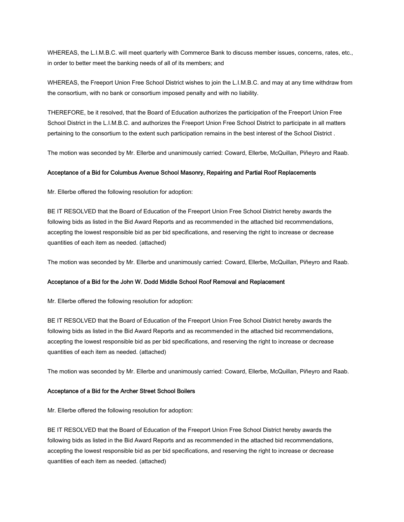WHEREAS, the L.I.M.B.C. will meet quarterly with Commerce Bank to discuss member issues, concerns, rates, etc., in order to better meet the banking needs of all of its members; and

WHEREAS, the Freeport Union Free School District wishes to join the L.I.M.B.C. and may at any time withdraw from the consortium, with no bank or consortium imposed penalty and with no liability.

THEREFORE, be it resolved, that the Board of Education authorizes the participation of the Freeport Union Free School District in the L.I.M.B.C. and authorizes the Freeport Union Free School District to participate in all matters pertaining to the consortium to the extent such participation remains in the best interest of the School District .

The motion was seconded by Mr. Ellerbe and unanimously carried: Coward, Ellerbe, McQuillan, Piñeyro and Raab.

## Acceptance of a Bid for Columbus Avenue School Masonry, Repairing and Partial Roof Replacements

Mr. Ellerbe offered the following resolution for adoption:

BE IT RESOLVED that the Board of Education of the Freeport Union Free School District hereby awards the following bids as listed in the Bid Award Reports and as recommended in the attached bid recommendations, accepting the lowest responsible bid as per bid specifications, and reserving the right to increase or decrease quantities of each item as needed. (attached)

The motion was seconded by Mr. Ellerbe and unanimously carried: Coward, Ellerbe, McQuillan, Piñeyro and Raab.

## Acceptance of a Bid for the John W. Dodd Middle School Roof Removal and Replacement

Mr. Ellerbe offered the following resolution for adoption:

BE IT RESOLVED that the Board of Education of the Freeport Union Free School District hereby awards the following bids as listed in the Bid Award Reports and as recommended in the attached bid recommendations, accepting the lowest responsible bid as per bid specifications, and reserving the right to increase or decrease quantities of each item as needed. (attached)

The motion was seconded by Mr. Ellerbe and unanimously carried: Coward, Ellerbe, McQuillan, Piñeyro and Raab.

## Acceptance of a Bid for the Archer Street School Boilers

Mr. Ellerbe offered the following resolution for adoption:

BE IT RESOLVED that the Board of Education of the Freeport Union Free School District hereby awards the following bids as listed in the Bid Award Reports and as recommended in the attached bid recommendations, accepting the lowest responsible bid as per bid specifications, and reserving the right to increase or decrease quantities of each item as needed. (attached)